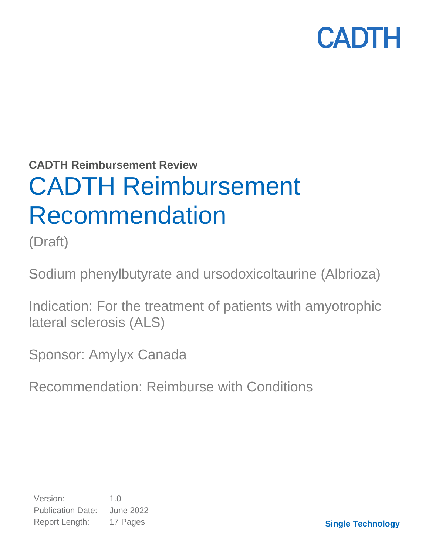**CADTH Reimbursement Review**

# CADTH Reimbursement Recommendation

(Draft)

Sodium phenylbutyrate and ursodoxicoltaurine (Albrioza)

Indication: For the treatment of patients with amyotrophic lateral sclerosis (ALS)

Sponsor: Amylyx Canada

Recommendation: Reimburse with Conditions

Version: 1.0 Publication Date: June 2022 Report Length: 17 Pages

**Single Technology**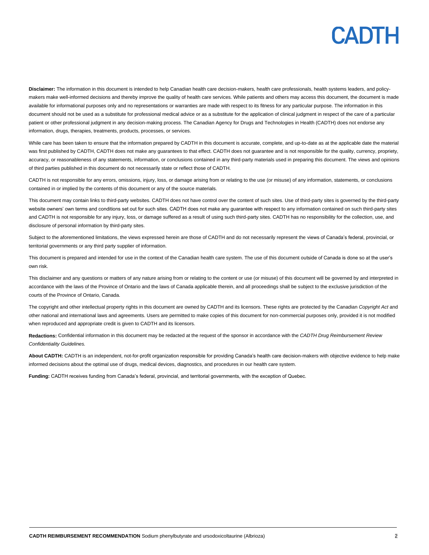**Disclaimer:** The information in this document is intended to help Canadian health care decision-makers, health care professionals, health systems leaders, and policymakers make well-informed decisions and thereby improve the quality of health care services. While patients and others may access this document, the document is made available for informational purposes only and no representations or warranties are made with respect to its fitness for any particular purpose. The information in this document should not be used as a substitute for professional medical advice or as a substitute for the application of clinical judgment in respect of the care of a particular patient or other professional judgment in any decision-making process. The Canadian Agency for Drugs and Technologies in Health (CADTH) does not endorse any information, drugs, therapies, treatments, products, processes, or services.

While care has been taken to ensure that the information prepared by CADTH in this document is accurate, complete, and up-to-date as at the applicable date the material was first published by CADTH, CADTH does not make any guarantees to that effect. CADTH does not guarantee and is not responsible for the quality, currency, propriety, accuracy, or reasonableness of any statements, information, or conclusions contained in any third-party materials used in preparing this document. The views and opinions of third parties published in this document do not necessarily state or reflect those of CADTH.

CADTH is not responsible for any errors, omissions, injury, loss, or damage arising from or relating to the use (or misuse) of any information, statements, or conclusions contained in or implied by the contents of this document or any of the source materials.

This document may contain links to third-party websites. CADTH does not have control over the content of such sites. Use of third-party sites is governed by the third-party website owners' own terms and conditions set out for such sites. CADTH does not make any guarantee with respect to any information contained on such third-party sites and CADTH is not responsible for any injury, loss, or damage suffered as a result of using such third-party sites. CADTH has no responsibility for the collection, use, and disclosure of personal information by third-party sites.

Subject to the aforementioned limitations, the views expressed herein are those of CADTH and do not necessarily represent the views of Canada's federal, provincial, or territorial governments or any third party supplier of information.

This document is prepared and intended for use in the context of the Canadian health care system. The use of this document outside of Canada is done so at the user's own risk.

This disclaimer and any questions or matters of any nature arising from or relating to the content or use (or misuse) of this document will be governed by and interpreted in accordance with the laws of the Province of Ontario and the laws of Canada applicable therein, and all proceedings shall be subject to the exclusive jurisdiction of the courts of the Province of Ontario, Canada.

The copyright and other intellectual property rights in this document are owned by CADTH and its licensors. These rights are protected by the Canadian *Copyright Act* and other national and international laws and agreements. Users are permitted to make copies of this document for non-commercial purposes only, provided it is not modified when reproduced and appropriate credit is given to CADTH and its licensors.

**Redactions:** Confidential information in this document may be redacted at the request of the sponsor in accordance with the *CADTH Drug Reimbursement Review Confidentiality Guidelines.*

**About CADTH:** CADTH is an independent, not-for-profit organization responsible for providing Canada's health care decision-makers with objective evidence to help make informed decisions about the optimal use of drugs, medical devices, diagnostics, and procedures in our health care system.

**Funding:** CADTH receives funding from Canada's federal, provincial, and territorial governments, with the exception of Quebec.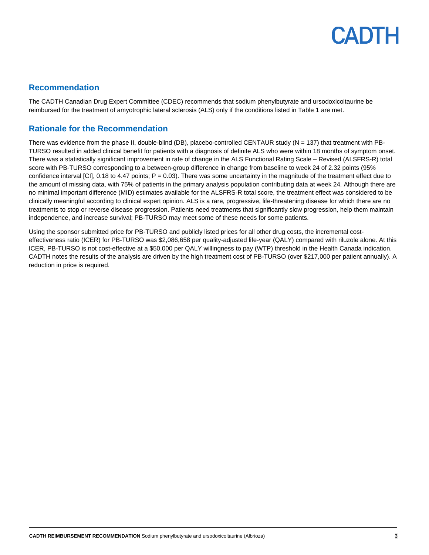### **Recommendation**

The CADTH Canadian Drug Expert Committee (CDEC) recommends that sodium phenylbutyrate and ursodoxicoltaurine be reimbursed for the treatment of amyotrophic lateral sclerosis (ALS) only if the conditions listed in [Table 1](#page-3-0) are met.

### **Rationale for the Recommendation**

There was evidence from the phase II, double-blind (DB), placebo-controlled CENTAUR study ( $N = 137$ ) that treatment with PB-TURSO resulted in added clinical benefit for patients with a diagnosis of definite ALS who were within 18 months of symptom onset. There was a statistically significant improvement in rate of change in the ALS Functional Rating Scale – Revised (ALSFRS-R) total score with PB-TURSO corresponding to a between-group difference in change from baseline to week 24 of 2.32 points (95% confidence interval  $\text{[C]}$ , 0.18 to 4.47 points;  $P = 0.03$ ). There was some uncertainty in the magnitude of the treatment effect due to the amount of missing data, with 75% of patients in the primary analysis population contributing data at week 24. Although there are no minimal important difference (MID) estimates available for the ALSFRS-R total score, the treatment effect was considered to be clinically meaningful according to clinical expert opinion. ALS is a rare, progressive, life-threatening disease for which there are no treatments to stop or reverse disease progression. Patients need treatments that significantly slow progression, help them maintain independence, and increase survival; PB-TURSO may meet some of these needs for some patients.

Using the sponsor submitted price for PB-TURSO and publicly listed prices for all other drug costs, the incremental costeffectiveness ratio (ICER) for PB-TURSO was \$2,086,658 per quality-adjusted life-year (QALY) compared with riluzole alone. At this ICER, PB-TURSO is not cost-effective at a \$50,000 per QALY willingness to pay (WTP) threshold in the Health Canada indication. CADTH notes the results of the analysis are driven by the high treatment cost of PB-TURSO (over \$217,000 per patient annually). A reduction in price is required.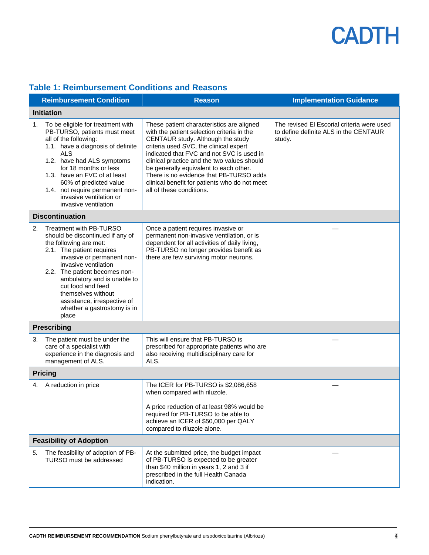<span id="page-3-0"></span>

|  | <b>Table 1: Reimbursement Conditions and Reasons</b> |  |  |
|--|------------------------------------------------------|--|--|
|  |                                                      |  |  |

|    | <b>Reimbursement Condition</b>                                                                                                                                                                                                                                                                                                                             | <b>Reason</b>                                                                                                                                                                                                                                                                                                                                                                                                                        | <b>Implementation Guidance</b>                                                                |  |
|----|------------------------------------------------------------------------------------------------------------------------------------------------------------------------------------------------------------------------------------------------------------------------------------------------------------------------------------------------------------|--------------------------------------------------------------------------------------------------------------------------------------------------------------------------------------------------------------------------------------------------------------------------------------------------------------------------------------------------------------------------------------------------------------------------------------|-----------------------------------------------------------------------------------------------|--|
|    | <b>Initiation</b>                                                                                                                                                                                                                                                                                                                                          |                                                                                                                                                                                                                                                                                                                                                                                                                                      |                                                                                               |  |
| 1. | To be eligible for treatment with<br>PB-TURSO, patients must meet<br>all of the following:<br>1.1. have a diagnosis of definite<br>ALS<br>1.2. have had ALS symptoms<br>for 18 months or less<br>1.3. have an FVC of at least<br>60% of predicted value<br>1.4. not require permanent non-<br>invasive ventilation or<br>invasive ventilation              | These patient characteristics are aligned<br>with the patient selection criteria in the<br>CENTAUR study. Although the study<br>criteria used SVC, the clinical expert<br>indicated that FVC and not SVC is used in<br>clinical practice and the two values should<br>be generally equivalent to each other.<br>There is no evidence that PB-TURSO adds<br>clinical benefit for patients who do not meet<br>all of these conditions. | The revised El Escorial criteria were used<br>to define definite ALS in the CENTAUR<br>study. |  |
|    | <b>Discontinuation</b>                                                                                                                                                                                                                                                                                                                                     |                                                                                                                                                                                                                                                                                                                                                                                                                                      |                                                                                               |  |
| 2. | Treatment with PB-TURSO<br>should be discontinued if any of<br>the following are met:<br>2.1. The patient requires<br>invasive or permanent non-<br>invasive ventilation<br>2.2. The patient becomes non-<br>ambulatory and is unable to<br>cut food and feed<br>themselves without<br>assistance, irrespective of<br>whether a gastrostomy is in<br>place | Once a patient requires invasive or<br>permanent non-invasive ventilation, or is<br>dependent for all activities of daily living,<br>PB-TURSO no longer provides benefit as<br>there are few surviving motor neurons.                                                                                                                                                                                                                |                                                                                               |  |
|    | <b>Prescribing</b>                                                                                                                                                                                                                                                                                                                                         |                                                                                                                                                                                                                                                                                                                                                                                                                                      |                                                                                               |  |
| 3. | The patient must be under the<br>care of a specialist with<br>experience in the diagnosis and<br>management of ALS.                                                                                                                                                                                                                                        | This will ensure that PB-TURSO is<br>prescribed for appropriate patients who are<br>also receiving multidisciplinary care for<br>ALS.                                                                                                                                                                                                                                                                                                |                                                                                               |  |
|    | <b>Pricing</b>                                                                                                                                                                                                                                                                                                                                             |                                                                                                                                                                                                                                                                                                                                                                                                                                      |                                                                                               |  |
| 4. | A reduction in price                                                                                                                                                                                                                                                                                                                                       | The ICER for PB-TURSO is \$2,086,658<br>when compared with riluzole.<br>A price reduction of at least 98% would be<br>required for PB-TURSO to be able to<br>achieve an ICER of \$50,000 per QALY<br>compared to riluzole alone.                                                                                                                                                                                                     |                                                                                               |  |
|    | <b>Feasibility of Adoption</b>                                                                                                                                                                                                                                                                                                                             |                                                                                                                                                                                                                                                                                                                                                                                                                                      |                                                                                               |  |
| 5. | The feasibility of adoption of PB-<br>TURSO must be addressed                                                                                                                                                                                                                                                                                              | At the submitted price, the budget impact<br>of PB-TURSO is expected to be greater<br>than \$40 million in years 1, 2 and 3 if<br>prescribed in the full Health Canada<br>indication.                                                                                                                                                                                                                                                |                                                                                               |  |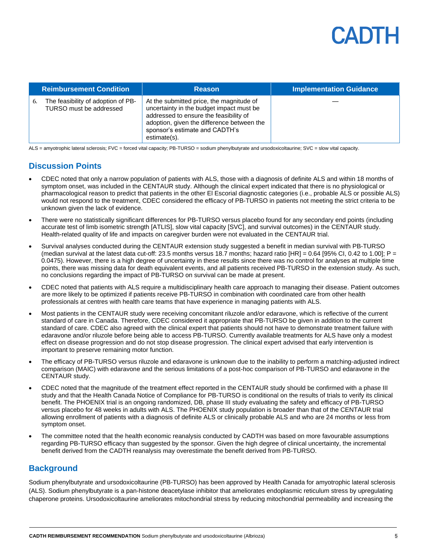

|    | <b>Reimbursement Condition</b>                                | <b>Reason</b>                                                                                                                                                                                                                  | <b>Implementation Guidance</b> |
|----|---------------------------------------------------------------|--------------------------------------------------------------------------------------------------------------------------------------------------------------------------------------------------------------------------------|--------------------------------|
| 6. | The feasibility of adoption of PB-<br>TURSO must be addressed | At the submitted price, the magnitude of<br>uncertainty in the budget impact must be<br>addressed to ensure the feasibility of<br>adoption, given the difference between the<br>sponsor's estimate and CADTH's<br>estimate(s). |                                |

ALS = amyotrophic lateral sclerosis; FVC = forced vital capacity; PB-TURSO = sodium phenylbutyrate and ursodoxicoltaurine; SVC = slow vital capacity.

### **Discussion Points**

- CDEC noted that only a narrow population of patients with ALS, those with a diagnosis of definite ALS and within 18 months of symptom onset, was included in the CENTAUR study. Although the clinical expert indicated that there is no physiological or pharmacological reason to predict that patients in the other El Escorial diagnostic categories (i.e., probable ALS or possible ALS) would not respond to the treatment, CDEC considered the efficacy of PB-TURSO in patients not meeting the strict criteria to be unknown given the lack of evidence.
- There were no statistically significant differences for PB-TURSO versus placebo found for any secondary end points (including accurate test of limb isometric strength [ATLIS], slow vital capacity [SVC], and survival outcomes) in the CENTAUR study. Health-related quality of life and impacts on caregiver burden were not evaluated in the CENTAUR trial.
- Survival analyses conducted during the CENTAUR extension study suggested a benefit in median survival with PB-TURSO (median survival at the latest data cut-off: 23.5 months versus 18.7 months; hazard ratio  $[HR] = 0.64$  [95% CI, 0.42 to 1.00]; P = 0.0475). However, there is a high degree of uncertainty in these results since there was no control for analyses at multiple time points, there was missing data for death equivalent events, and all patients received PB-TURSO in the extension study. As such, no conclusions regarding the impact of PB-TURSO on survival can be made at present.
- CDEC noted that patients with ALS require a multidisciplinary health care approach to managing their disease. Patient outcomes are more likely to be optimized if patients receive PB-TURSO in combination with coordinated care from other health professionals at centres with health care teams that have experience in managing patients with ALS.
- Most patients in the CENTAUR study were receiving concomitant riluzole and/or edaravone, which is reflective of the current standard of care in Canada. Therefore, CDEC considered it appropriate that PB-TURSO be given in addition to the current standard of care. CDEC also agreed with the clinical expert that patients should not have to demonstrate treatment failure with edaravone and/or riluzole before being able to access PB-TURSO. Currently available treatments for ALS have only a modest effect on disease progression and do not stop disease progression. The clinical expert advised that early intervention is important to preserve remaining motor function.
- The efficacy of PB-TURSO versus riluzole and edaravone is unknown due to the inability to perform a matching-adjusted indirect comparison (MAIC) with edaravone and the serious limitations of a post-hoc comparison of PB-TURSO and edaravone in the CENTAUR study.
- CDEC noted that the magnitude of the treatment effect reported in the CENTAUR study should be confirmed with a phase III study and that the Health Canada Notice of Compliance for PB-TURSO is conditional on the results of trials to verify its clinical benefit. The PHOENIX trial is an ongoing randomized, DB, phase III study evaluating the safety and efficacy of PB-TURSO versus placebo for 48 weeks in adults with ALS. The PHOENIX study population is broader than that of the CENTAUR trial allowing enrollment of patients with a diagnosis of definite ALS or clinically probable ALS and who are 24 months or less from symptom onset.
- The committee noted that the health economic reanalysis conducted by CADTH was based on more favourable assumptions regarding PB-TURSO efficacy than suggested by the sponsor. Given the high degree of clinical uncertainty, the incremental benefit derived from the CADTH reanalysis may overestimate the benefit derived from PB-TURSO.

### **Background**

Sodium phenylbutyrate and ursodoxicoltaurine (PB-TURSO) has been approved by Health Canada for amyotrophic lateral sclerosis (ALS). Sodium phenylbutyrate is a pan-histone deacetylase inhibitor that ameliorates endoplasmic reticulum stress by upregulating chaperone proteins. Ursodoxicoltaurine ameliorates mitochondrial stress by reducing mitochondrial permeability and increasing the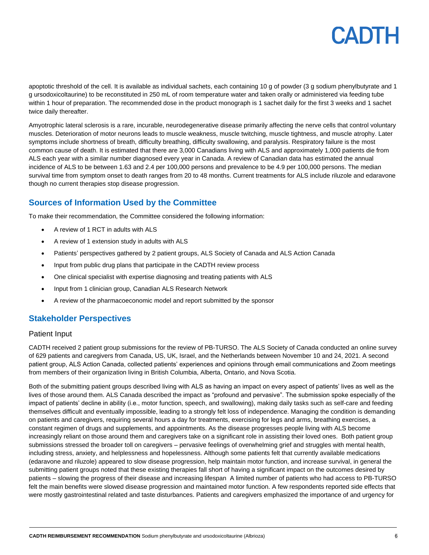apoptotic threshold of the cell. It is available as individual sachets, each containing 10 g of powder (3 g sodium phenylbutyrate and 1 g ursodoxicoltaurine) to be reconstituted in 250 mL of room temperature water and taken orally or administered via feeding tube within 1 hour of preparation. The recommended dose in the product monograph is 1 sachet daily for the first 3 weeks and 1 sachet twice daily thereafter.

Amyotrophic lateral sclerosis is a rare, incurable, neurodegenerative disease primarily affecting the nerve cells that control voluntary muscles. Deterioration of motor neurons leads to muscle weakness, muscle twitching, muscle tightness, and muscle atrophy. Later symptoms include shortness of breath, difficulty breathing, difficulty swallowing, and paralysis. Respiratory failure is the most common cause of death. It is estimated that there are 3,000 Canadians living with ALS and approximately 1,000 patients die from ALS each year with a similar number diagnosed every year in Canada. A review of Canadian data has estimated the annual incidence of ALS to be between 1.63 and 2.4 per 100,000 persons and prevalence to be 4.9 per 100,000 persons. The median survival time from symptom onset to death ranges from 20 to 48 months. Current treatments for ALS include riluzole and edaravone though no current therapies stop disease progression.

### **Sources of Information Used by the Committee**

To make their recommendation, the Committee considered the following information:

- A review of 1 RCT in adults with ALS
- A review of 1 extension study in adults with ALS
- Patients' perspectives gathered by 2 patient groups, ALS Society of Canada and ALS Action Canada
- Input from public drug plans that participate in the CADTH review process
- One clinical specialist with expertise diagnosing and treating patients with ALS
- Input from 1 clinician group, Canadian ALS Research Network
- A review of the pharmacoeconomic model and report submitted by the sponsor

### **Stakeholder Perspectives**

### Patient Input

CADTH received 2 patient group submissions for the review of PB-TURSO. The ALS Society of Canada conducted an online survey of 629 patients and caregivers from Canada, US, UK, Israel, and the Netherlands between November 10 and 24, 2021. A second patient group, ALS Action Canada, collected patients' experiences and opinions through email communications and Zoom meetings from members of their organization living in British Columbia, Alberta, Ontario, and Nova Scotia.

Both of the submitting patient groups described living with ALS as having an impact on every aspect of patients' lives as well as the lives of those around them. ALS Canada described the impact as "profound and pervasive". The submission spoke especially of the impact of patients' decline in ability (i.e., motor function, speech, and swallowing), making daily tasks such as self-care and feeding themselves difficult and eventually impossible, leading to a strongly felt loss of independence. Managing the condition is demanding on patients and caregivers, requiring several hours a day for treatments, exercising for legs and arms, breathing exercises, a constant regimen of drugs and supplements, and appointments. As the disease progresses people living with ALS become increasingly reliant on those around them and caregivers take on a significant role in assisting their loved ones. Both patient group submissions stressed the broader toll on caregivers – pervasive feelings of overwhelming grief and struggles with mental health, including stress, anxiety, and helplessness and hopelessness. Although some patients felt that currently available medications (edaravone and riluzole) appeared to slow disease progression, help maintain motor function, and increase survival, in general the submitting patient groups noted that these existing therapies fall short of having a significant impact on the outcomes desired by patients – slowing the progress of their disease and increasing lifespan A limited number of patients who had access to PB-TURSO felt the main benefits were slowed disease progression and maintained motor function. A few respondents reported side effects that were mostly gastrointestinal related and taste disturbances. Patients and caregivers emphasized the importance of and urgency for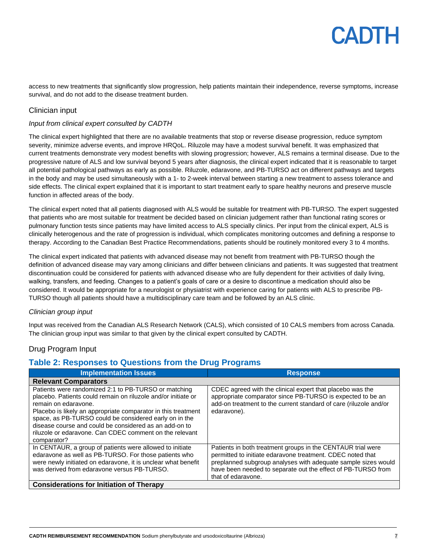access to new treatments that significantly slow progression, help patients maintain their independence, reverse symptoms, increase survival, and do not add to the disease treatment burden.

### Clinician input

#### *Input from clinical expert consulted by CADTH*

The clinical expert highlighted that there are no available treatments that stop or reverse disease progression, reduce symptom severity, minimize adverse events, and improve HRQoL. Riluzole may have a modest survival benefit. It was emphasized that current treatments demonstrate very modest benefits with slowing progression; however, ALS remains a terminal disease. Due to the progressive nature of ALS and low survival beyond 5 years after diagnosis, the clinical expert indicated that it is reasonable to target all potential pathological pathways as early as possible. Riluzole, edaravone, and PB-TURSO act on different pathways and targets in the body and may be used simultaneously with a 1- to 2-week interval between starting a new treatment to assess tolerance and side effects. The clinical expert explained that it is important to start treatment early to spare healthy neurons and preserve muscle function in affected areas of the body.

The clinical expert noted that all patients diagnosed with ALS would be suitable for treatment with PB-TURSO. The expert suggested that patients who are most suitable for treatment be decided based on clinician judgement rather than functional rating scores or pulmonary function tests since patients may have limited access to ALS specially clinics. Per input from the clinical expert, ALS is clinically heterogenous and the rate of progression is individual, which complicates monitoring outcomes and defining a response to therapy. According to the Canadian Best Practice Recommendations, patients should be routinely monitored every 3 to 4 months.

The clinical expert indicated that patients with advanced disease may not benefit from treatment with PB-TURSO though the definition of advanced disease may vary among clinicians and differ between clinicians and patients. It was suggested that treatment discontinuation could be considered for patients with advanced disease who are fully dependent for their activities of daily living, walking, transfers, and feeding. Changes to a patient's goals of care or a desire to discontinue a medication should also be considered. It would be appropriate for a neurologist or physiatrist with experience caring for patients with ALS to prescribe PB-TURSO though all patients should have a multidisciplinary care team and be followed by an ALS clinic.

#### *Clinician group input*

Input was received from the Canadian ALS Research Network (CALS), which consisted of 10 CALS members from across Canada. The clinician group input was similar to that given by the clinical expert consulted by CADTH.

### Drug Program Input

### **Table 2: Responses to Questions from the Drug Programs**

| <b>Implementation Issues</b>                                                                                                                                                                                                                                                                                                                                                                                 | <b>Response</b>                                                                                                                                                                                                                                                                  |  |
|--------------------------------------------------------------------------------------------------------------------------------------------------------------------------------------------------------------------------------------------------------------------------------------------------------------------------------------------------------------------------------------------------------------|----------------------------------------------------------------------------------------------------------------------------------------------------------------------------------------------------------------------------------------------------------------------------------|--|
| <b>Relevant Comparators</b>                                                                                                                                                                                                                                                                                                                                                                                  |                                                                                                                                                                                                                                                                                  |  |
| Patients were randomized 2:1 to PB-TURSO or matching<br>placebo. Patients could remain on riluzole and/or initiate or<br>remain on edaravone.<br>Placebo is likely an appropriate comparator in this treatment<br>space, as PB-TURSO could be considered early on in the<br>disease course and could be considered as an add-on to<br>riluzole or edaravone. Can CDEC comment on the relevant<br>comparator? | CDEC agreed with the clinical expert that placebo was the<br>appropriate comparator since PB-TURSO is expected to be an<br>add-on treatment to the current standard of care (riluzole and/or<br>edaravone).                                                                      |  |
| In CENTAUR, a group of patients were allowed to initiate<br>edaravone as well as PB-TURSO. For those patients who<br>were newly initiated on edaravone, it is unclear what benefit<br>was derived from edaravone versus PB-TURSO.                                                                                                                                                                            | Patients in both treatment groups in the CENTAUR trial were<br>permitted to initiate edaravone treatment. CDEC noted that<br>preplanned subgroup analyses with adequate sample sizes would<br>have been needed to separate out the effect of PB-TURSO from<br>that of edaravone. |  |
| <b>Considerations for Initiation of Therapy</b>                                                                                                                                                                                                                                                                                                                                                              |                                                                                                                                                                                                                                                                                  |  |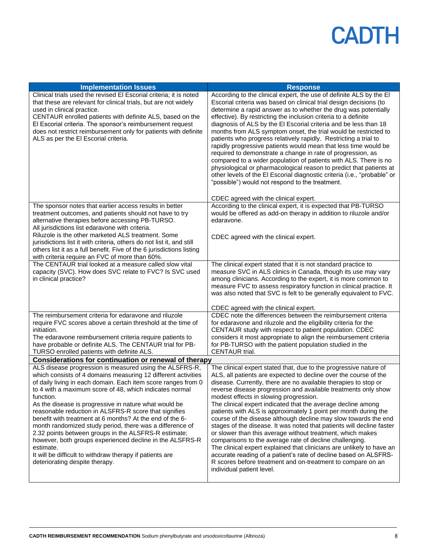| <b>Implementation Issues</b>                                                                                                                                                                                                                                                                                                                                                                                                                                                                                                                                                                                                                                                                                                               | <b>Response</b>                                                                                                                                                                                                                                                                                                                                                                                                                                                                                                                                                                                                                                                                                                                                                                                                                                                                                                                                                       |
|--------------------------------------------------------------------------------------------------------------------------------------------------------------------------------------------------------------------------------------------------------------------------------------------------------------------------------------------------------------------------------------------------------------------------------------------------------------------------------------------------------------------------------------------------------------------------------------------------------------------------------------------------------------------------------------------------------------------------------------------|-----------------------------------------------------------------------------------------------------------------------------------------------------------------------------------------------------------------------------------------------------------------------------------------------------------------------------------------------------------------------------------------------------------------------------------------------------------------------------------------------------------------------------------------------------------------------------------------------------------------------------------------------------------------------------------------------------------------------------------------------------------------------------------------------------------------------------------------------------------------------------------------------------------------------------------------------------------------------|
| Clinical trials used the revised El Escorial criteria; it is noted<br>that these are relevant for clinical trials, but are not widely<br>used in clinical practice.<br>CENTAUR enrolled patients with definite ALS, based on the<br>El Escorial criteria. The sponsor's reimbursement request<br>does not restrict reimbursement only for patients with definite<br>ALS as per the El Escorial criteria.                                                                                                                                                                                                                                                                                                                                   | According to the clinical expert, the use of definite ALS by the EI<br>Escorial criteria was based on clinical trial design decisions (to<br>determine a rapid answer as to whether the drug was potentially<br>effective). By restricting the inclusion criteria to a definite<br>diagnosis of ALS by the El Escorial criteria and be less than 18<br>months from ALS symptom onset, the trial would be restricted to<br>patients who progress relatively rapidly. Restricting a trial to<br>rapidly progressive patients would mean that less time would be<br>required to demonstrate a change in rate of progression, as<br>compared to a wider population of patients with ALS. There is no<br>physiological or pharmacological reason to predict that patients at<br>other levels of the El Escorial diagnostic criteria (i.e., "probable" or<br>"possible") would not respond to the treatment.                                                                |
|                                                                                                                                                                                                                                                                                                                                                                                                                                                                                                                                                                                                                                                                                                                                            | CDEC agreed with the clinical expert.                                                                                                                                                                                                                                                                                                                                                                                                                                                                                                                                                                                                                                                                                                                                                                                                                                                                                                                                 |
| The sponsor notes that earlier access results in better<br>treatment outcomes, and patients should not have to try<br>alternative therapies before accessing PB-TURSO.<br>All jurisdictions list edaravone with criteria.                                                                                                                                                                                                                                                                                                                                                                                                                                                                                                                  | According to the clinical expert, it is expected that PB-TURSO<br>would be offered as add-on therapy in addition to riluzole and/or<br>edaravone.                                                                                                                                                                                                                                                                                                                                                                                                                                                                                                                                                                                                                                                                                                                                                                                                                     |
| Riluzole is the other marketed ALS treatment. Some<br>jurisdictions list it with criteria, others do not list it, and still<br>others list it as a full benefit. Five of the 6 jurisdictions listing<br>with criteria require an FVC of more than 60%.                                                                                                                                                                                                                                                                                                                                                                                                                                                                                     | CDEC agreed with the clinical expert.                                                                                                                                                                                                                                                                                                                                                                                                                                                                                                                                                                                                                                                                                                                                                                                                                                                                                                                                 |
| The CENTAUR trial looked at a measure called slow vital<br>capacity (SVC). How does SVC relate to FVC? Is SVC used<br>in clinical practice?                                                                                                                                                                                                                                                                                                                                                                                                                                                                                                                                                                                                | The clinical expert stated that it is not standard practice to<br>measure SVC in ALS clinics in Canada, though its use may vary<br>among clinicians. According to the expert, it is more common to<br>measure FVC to assess respiratory function in clinical practice. It<br>was also noted that SVC is felt to be generally equivalent to FVC.                                                                                                                                                                                                                                                                                                                                                                                                                                                                                                                                                                                                                       |
|                                                                                                                                                                                                                                                                                                                                                                                                                                                                                                                                                                                                                                                                                                                                            | CDEC agreed with the clinical expert.                                                                                                                                                                                                                                                                                                                                                                                                                                                                                                                                                                                                                                                                                                                                                                                                                                                                                                                                 |
| The reimbursement criteria for edaravone and riluzole<br>require FVC scores above a certain threshold at the time of<br>initiation.<br>The edaravone reimbursement criteria require patients to<br>have probable or definite ALS. The CENTAUR trial for PB-<br>TURSO enrolled patients with definite ALS.                                                                                                                                                                                                                                                                                                                                                                                                                                  | CDEC note the differences between the reimbursement criteria<br>for edaravone and riluzole and the eligibility criteria for the<br>CENTAUR study with respect to patient population. CDEC<br>considers it most appropriate to align the reimbursement criteria<br>for PB-TURSO with the patient population studied in the<br>CENTAUR trial.                                                                                                                                                                                                                                                                                                                                                                                                                                                                                                                                                                                                                           |
| Considerations for continuation or renewal of therapy                                                                                                                                                                                                                                                                                                                                                                                                                                                                                                                                                                                                                                                                                      |                                                                                                                                                                                                                                                                                                                                                                                                                                                                                                                                                                                                                                                                                                                                                                                                                                                                                                                                                                       |
| ALS disease progression is measured using the ALSFRS-R,<br>which consists of 4 domains measuring 12 different activities<br>of daily living in each domain. Each item score ranges from 0<br>to 4 with a maximum score of 48, which indicates normal<br>function.<br>As the disease is progressive in nature what would be<br>reasonable reduction in ALSFRS-R score that signifies<br>benefit with treatment at 6 months? At the end of the 6-<br>month randomized study period, there was a difference of<br>2.32 points between groups in the ALSFRS-R estimate;<br>however, both groups experienced decline in the ALSFRS-R<br>estimate.<br>It will be difficult to withdraw therapy if patients are<br>deteriorating despite therapy. | The clinical expert stated that, due to the progressive nature of<br>ALS, all patients are expected to decline over the course of the<br>disease. Currently, there are no available therapies to stop or<br>reverse disease progression and available treatments only show<br>modest effects in slowing progression.<br>The clinical expert indicated that the average decline among<br>patients with ALS is approximately 1 point per month during the<br>course of the disease although decline may slow towards the end<br>stages of the disease. It was noted that patients will decline faster<br>or slower than this average without treatment, which makes<br>comparisons to the average rate of decline challenging.<br>The clinical expert explained that clinicians are unlikely to have an<br>accurate reading of a patient's rate of decline based on ALSFRS-<br>R scores before treatment and on-treatment to compare on an<br>individual patient level. |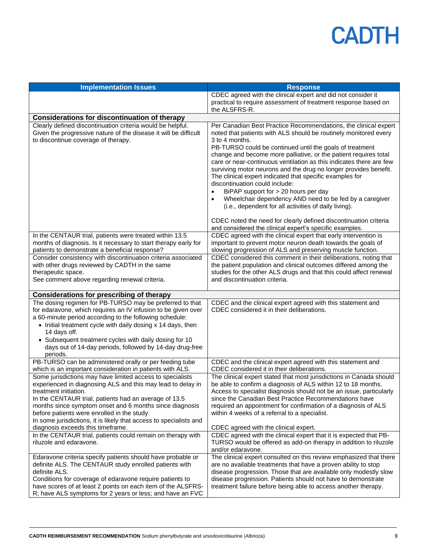| <b>Implementation Issues</b>                                                                                                                                                                                                                                                                                                                                                                                                    | <b>Response</b>                                                                                                                                                                                                                                                                                                                                                                                                                                                                                                                                                                                                                                                                            |
|---------------------------------------------------------------------------------------------------------------------------------------------------------------------------------------------------------------------------------------------------------------------------------------------------------------------------------------------------------------------------------------------------------------------------------|--------------------------------------------------------------------------------------------------------------------------------------------------------------------------------------------------------------------------------------------------------------------------------------------------------------------------------------------------------------------------------------------------------------------------------------------------------------------------------------------------------------------------------------------------------------------------------------------------------------------------------------------------------------------------------------------|
|                                                                                                                                                                                                                                                                                                                                                                                                                                 | CDEC agreed with the clinical expert and did not consider it<br>practical to require assessment of treatment response based on<br>the ALSFRS-R.                                                                                                                                                                                                                                                                                                                                                                                                                                                                                                                                            |
| <b>Considerations for discontinuation of therapy</b>                                                                                                                                                                                                                                                                                                                                                                            |                                                                                                                                                                                                                                                                                                                                                                                                                                                                                                                                                                                                                                                                                            |
| Clearly defined discontinuation criteria would be helpful.<br>Given the progressive nature of the disease it will be difficult<br>to discontinue coverage of therapy.                                                                                                                                                                                                                                                           | Per Canadian Best Practice Recommendations, the clinical expert<br>noted that patients with ALS should be routinely monitored every<br>3 to 4 months.<br>PB-TURSO could be continued until the goals of treatment<br>change and become more palliative, or the patient requires total<br>care or near-continuous ventilation as this indicates there are few<br>surviving motor neurons and the drug no longer provides benefit.<br>The clinical expert indicated that specific examples for<br>discontinuation could include:<br>BiPAP support for > 20 hours per day<br>Wheelchair dependency AND need to be fed by a caregiver<br>(i.e., dependent for all activities of daily living). |
|                                                                                                                                                                                                                                                                                                                                                                                                                                 | CDEC noted the need for clearly defined discontinuation criteria<br>and considered the clinical expert's specific examples.                                                                                                                                                                                                                                                                                                                                                                                                                                                                                                                                                                |
| In the CENTAUR trial, patients were treated within 13.5<br>months of diagnosis. Is it necessary to start therapy early for<br>patients to demonstrate a beneficial response?                                                                                                                                                                                                                                                    | CDEC agreed with the clinical expert that early intervention is<br>important to prevent motor neuron death towards the goals of<br>slowing progression of ALS and preserving muscle function.                                                                                                                                                                                                                                                                                                                                                                                                                                                                                              |
| Consider consistency with discontinuation criteria associated<br>with other drugs reviewed by CADTH in the same<br>therapeutic space.<br>See comment above regarding renewal criteria.                                                                                                                                                                                                                                          | CDEC considered this comment in their deliberations, noting that<br>the patient population and clinical outcomes differed among the<br>studies for the other ALS drugs and that this could affect renewal<br>and discontinuation criteria.                                                                                                                                                                                                                                                                                                                                                                                                                                                 |
| <b>Considerations for prescribing of therapy</b>                                                                                                                                                                                                                                                                                                                                                                                |                                                                                                                                                                                                                                                                                                                                                                                                                                                                                                                                                                                                                                                                                            |
| The dosing regimen for PB-TURSO may be preferred to that<br>for edaravone, which requires an IV infusion to be given over<br>a 60-minute period according to the following schedule:<br>• Initial treatment cycle with daily dosing x 14 days, then<br>14 days off.<br>• Subsequent treatment cycles with daily dosing for 10<br>days out of 14-day periods, followed by 14-day drug-free<br>periods.                           | CDEC and the clinical expert agreed with this statement and<br>CDEC considered it in their deliberations.                                                                                                                                                                                                                                                                                                                                                                                                                                                                                                                                                                                  |
| PB-TURSO can be administered orally or per feeding tube<br>which is an important consideration in patients with ALS.                                                                                                                                                                                                                                                                                                            | CDEC and the clinical expert agreed with this statement and<br>CDEC considered it in their deliberations.                                                                                                                                                                                                                                                                                                                                                                                                                                                                                                                                                                                  |
| Some jurisdictions may have limited access to specialists<br>experienced in diagnosing ALS and this may lead to delay in<br>treatment initiation.<br>In the CENTAUR trial, patients had an average of 13.5<br>months since symptom onset and 6 months since diagnosis<br>before patients were enrolled in the study.<br>In some jurisdictions, it is likely that access to specialists and<br>diagnosis exceeds this timeframe. | The clinical expert stated that most jurisdictions in Canada should<br>be able to confirm a diagnosis of ALS within 12 to 18 months.<br>Access to specialist diagnosis should not be an issue, particularly<br>since the Canadian Best Practice Recommendations have<br>required an appointment for confirmation of a diagnosis of ALS<br>within 4 weeks of a referral to a specialist.<br>CDEC agreed with the clinical expert.                                                                                                                                                                                                                                                           |
| In the CENTAUR trial, patients could remain on therapy with<br>riluzole and edaravone.                                                                                                                                                                                                                                                                                                                                          | CDEC agreed with the clinical expert that it is expected that PB-<br>TURSO would be offered as add-on therapy in addition to riluzole<br>and/or edaravone.                                                                                                                                                                                                                                                                                                                                                                                                                                                                                                                                 |
| Edaravone criteria specify patients should have probable or<br>definite ALS. The CENTAUR study enrolled patients with<br>definite ALS.<br>Conditions for coverage of edaravone require patients to<br>have scores of at least 2 points on each item of the ALSFRS-<br>R; have ALS symptoms for 2 years or less; and have an FVC                                                                                                 | The clinical expert consulted on this review emphasized that there<br>are no available treatments that have a proven ability to stop<br>disease progression. Those that are available only modestly slow<br>disease progression. Patients should not have to demonstrate<br>treatment failure before being able to access another therapy.                                                                                                                                                                                                                                                                                                                                                 |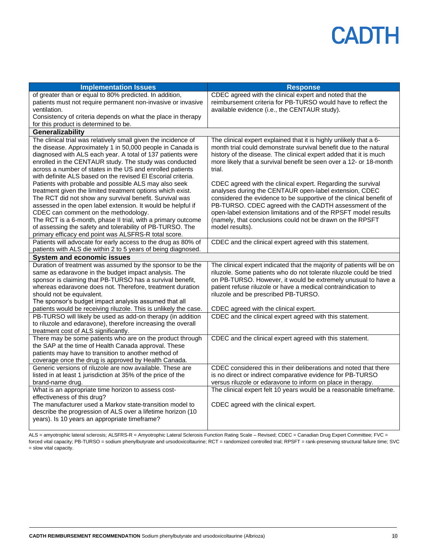| <b>Implementation Issues</b>                                                                                          | <b>Response</b>                                                                                                                         |
|-----------------------------------------------------------------------------------------------------------------------|-----------------------------------------------------------------------------------------------------------------------------------------|
| of greater than or equal to 80% predicted. In addition,                                                               | CDEC agreed with the clinical expert and noted that the                                                                                 |
| patients must not require permanent non-invasive or invasive                                                          | reimbursement criteria for PB-TURSO would have to reflect the                                                                           |
| ventilation.                                                                                                          | available evidence (i.e., the CENTAUR study).                                                                                           |
| Consistency of criteria depends on what the place in therapy                                                          |                                                                                                                                         |
| for this product is determined to be.                                                                                 |                                                                                                                                         |
| Generalizability                                                                                                      |                                                                                                                                         |
| The clinical trial was relatively small given the incidence of                                                        | The clinical expert explained that it is highly unlikely that a 6-                                                                      |
| the disease. Approximately 1 in 50,000 people in Canada is                                                            | month trial could demonstrate survival benefit due to the natural                                                                       |
| diagnosed with ALS each year. A total of 137 patients were<br>enrolled in the CENTAUR study. The study was conducted  | history of the disease. The clinical expert added that it is much<br>more likely that a survival benefit be seen over a 12- or 18-month |
| across a number of states in the US and enrolled patients                                                             | trial.                                                                                                                                  |
| with definite ALS based on the revised EI Escorial criteria.                                                          |                                                                                                                                         |
| Patients with probable and possible ALS may also seek                                                                 | CDEC agreed with the clinical expert. Regarding the survival                                                                            |
| treatment given the limited treatment options which exist.                                                            | analyses during the CENTAUR open-label extension, CDEC                                                                                  |
| The RCT did not show any survival benefit. Survival was                                                               | considered the evidence to be supportive of the clinical benefit of                                                                     |
| assessed in the open label extension. It would be helpful if                                                          | PB-TURSO. CDEC agreed with the CADTH assessment of the                                                                                  |
| CDEC can comment on the methodology.                                                                                  | open-label extension limitations and of the RPSFT model results                                                                         |
| The RCT is a 6-month, phase II trial, with a primary outcome                                                          | (namely, that conclusions could not be drawn on the RPSFT                                                                               |
| of assessing the safety and tolerability of PB-TURSO. The                                                             | model results).                                                                                                                         |
| primary efficacy end point was ALSFRS-R total score.<br>Patients will advocate for early access to the drug as 80% of |                                                                                                                                         |
| patients with ALS die within 2 to 5 years of being diagnosed.                                                         | CDEC and the clinical expert agreed with this statement.                                                                                |
| <b>System and economic issues</b>                                                                                     |                                                                                                                                         |
| Duration of treatment was assumed by the sponsor to be the                                                            | The clinical expert indicated that the majority of patients will be on                                                                  |
| same as edaravone in the budget impact analysis. The                                                                  | riluzole. Some patients who do not tolerate riluzole could be tried                                                                     |
| sponsor is claiming that PB-TURSO has a survival benefit,                                                             | on PB-TURSO. However, it would be extremely unusual to have a                                                                           |
| whereas edaravone does not. Therefore, treatment duration                                                             | patient refuse riluzole or have a medical contraindication to                                                                           |
| should not be equivalent.                                                                                             | riluzole and be prescribed PB-TURSO.                                                                                                    |
| The sponsor's budget impact analysis assumed that all                                                                 |                                                                                                                                         |
| patients would be receiving riluzole. This is unlikely the case.                                                      | CDEC agreed with the clinical expert.                                                                                                   |
| PB-TURSO will likely be used as add-on therapy (in addition                                                           | CDEC and the clinical expert agreed with this statement.                                                                                |
| to riluzole and edaravone), therefore increasing the overall                                                          |                                                                                                                                         |
| treatment cost of ALS significantly.                                                                                  |                                                                                                                                         |
| There may be some patients who are on the product through<br>the SAP at the time of Health Canada approval. These     | CDEC and the clinical expert agreed with this statement.                                                                                |
| patients may have to transition to another method of                                                                  |                                                                                                                                         |
| coverage once the drug is approved by Health Canada.                                                                  |                                                                                                                                         |
| Generic versions of riluzole are now available. These are                                                             | CDEC considered this in their deliberations and noted that there                                                                        |
| listed in at least 1 jurisdiction at 35% of the price of the                                                          | is no direct or indirect comparative evidence for PB-TURSO                                                                              |
| brand-name drug.                                                                                                      | versus riluzole or edaravone to inform on place in therapy.                                                                             |
| What is an appropriate time horizon to assess cost-                                                                   | The clinical expert felt 10 years would be a reasonable timeframe.                                                                      |
| effectiveness of this drug?                                                                                           |                                                                                                                                         |
| The manufacturer used a Markov state-transition model to                                                              | CDEC agreed with the clinical expert.                                                                                                   |
| describe the progression of ALS over a lifetime horizon (10                                                           |                                                                                                                                         |
| years). Is 10 years an appropriate timeframe?                                                                         |                                                                                                                                         |
|                                                                                                                       |                                                                                                                                         |

ALS = amyotrophic lateral sclerosis; ALSFRS-R = Amyotrophic Lateral Sclerosis Function Rating Scale – Revised; CDEC = Canadian Drug Expert Committee; FVC = forced vital capacity; PB-TURSO = sodium phenylbutyrate and ursodoxicoltaurine; RCT = randomized controlled trial; RPSFT = rank-preserving structural failure time; SVC = slow vital capacity.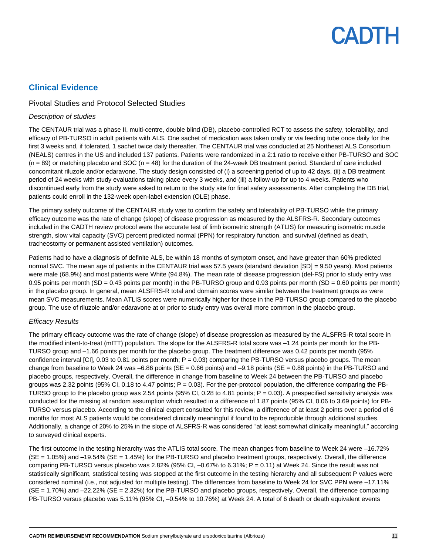### **Clinical Evidence**

### Pivotal Studies and Protocol Selected Studies

#### *Description of studies*

The CENTAUR trial was a phase II, multi-centre, double blind (DB), placebo-controlled RCT to assess the safety, tolerability, and efficacy of PB-TURSO in adult patients with ALS. One sachet of medication was taken orally or via feeding tube once daily for the first 3 weeks and, if tolerated, 1 sachet twice daily thereafter. The CENTAUR trial was conducted at 25 Northeast ALS Consortium (NEALS) centres in the US and included 137 patients. Patients were randomized in a 2:1 ratio to receive either PB-TURSO and SOC  $(n = 89)$  or matching placebo and SOC  $(n = 48)$  for the duration of the 24-week DB treatment period. Standard of care included concomitant riluzole and/or edaravone. The study design consisted of (i) a screening period of up to 42 days, (ii) a DB treatment period of 24 weeks with study evaluations taking place every 3 weeks, and (iii) a follow-up for up to 4 weeks. Patients who discontinued early from the study were asked to return to the study site for final safety assessments. After completing the DB trial, patients could enroll in the 132-week open-label extension (OLE) phase.

The primary safety outcome of the CENTAUR study was to confirm the safety and tolerability of PB-TURSO while the primary efficacy outcome was the rate of change (slope) of disease progression as measured by the ALSFRS-R. Secondary outcomes included in the CADTH review protocol were the accurate test of limb isometric strength (ATLIS) for measuring isometric muscle strength, slow vital capacity (SVC) percent predicted normal (PPN) for respiratory function, and survival (defined as death, tracheostomy or permanent assisted ventilation) outcomes.

Patients had to have a diagnosis of definite ALS, be within 18 months of symptom onset, and have greater than 60% predicted normal SVC. The mean age of patients in the CENTAUR trial was 57.5 years (standard deviation [SD] = 9.50 years). Most patients were male (68.9%) and most patients were White (94.8%). The mean rate of disease progression (del-FS) prior to study entry was 0.95 points per month (SD = 0.43 points per month) in the PB-TURSO group and 0.93 points per month (SD = 0.60 points per month) in the placebo group. In general, mean ALSFRS-R total and domain scores were similar between the treatment groups as were mean SVC measurements. Mean ATLIS scores were numerically higher for those in the PB-TURSO group compared to the placebo group. The use of riluzole and/or edaravone at or prior to study entry was overall more common in the placebo group.

### *Efficacy Results*

The primary efficacy outcome was the rate of change (slope) of disease progression as measured by the ALSFRS-R total score in the modified intent-to-treat (mITT) population. The slope for the ALSFRS-R total score was –1.24 points per month for the PB-TURSO group and –1.66 points per month for the placebo group. The treatment difference was 0.42 points per month (95% confidence interval  $[CI]$ , 0.03 to 0.81 points per month;  $P = 0.03$ ) comparing the PB-TURSO versus placebo groups. The mean change from baseline to Week 24 was –6.86 points ( $SE = 0.66$  points) and –9.18 points ( $SE = 0.88$  points) in the PB-TURSO and placebo groups, respectively. Overall, the difference in change from baseline to Week 24 between the PB-TURSO and placebo groups was 2.32 points (95% CI, 0.18 to 4.47 points;  $P = 0.03$ ). For the per-protocol population, the difference comparing the PB-TURSO group to the placebo group was 2.54 points (95% CI, 0.28 to 4.81 points;  $P = 0.03$ ). A prespecified sensitivity analysis was conducted for the missing at random assumption which resulted in a difference of 1.87 points (95% CI, 0.06 to 3.69 points) for PB-TURSO versus placebo. According to the clinical expert consulted for this review, a difference of at least 2 points over a period of 6 months for most ALS patients would be considered clinically meaningful if found to be reproducible through additional studies. Additionally, a change of 20% to 25% in the slope of ALSFRS-R was considered "at least somewhat clinically meaningful," according to surveyed clinical experts.

The first outcome in the testing hierarchy was the ATLIS total score. The mean changes from baseline to Week 24 were –16.72%  $(SE = 1.05\%)$  and  $-19.54\%$  ( $SE = 1.45\%)$  for the PB-TURSO and placebo treatment groups, respectively. Overall, the difference comparing PB-TURSO versus placebo was 2.82% (95% CI,  $-0.67$ % to 6.31%; P = 0.11) at Week 24. Since the result was not statistically significant, statistical testing was stopped at the first outcome in the testing hierarchy and all subsequent P values were considered nominal (i.e., not adjusted for multiple testing). The differences from baseline to Week 24 for SVC PPN were -17.11% (SE = 1.70%) and –22.22% (SE = 2.32%) for the PB-TURSO and placebo groups, respectively. Overall, the difference comparing PB-TURSO versus placebo was 5.11% (95% CI, –0.54% to 10.76%) at Week 24. A total of 6 death or death equivalent events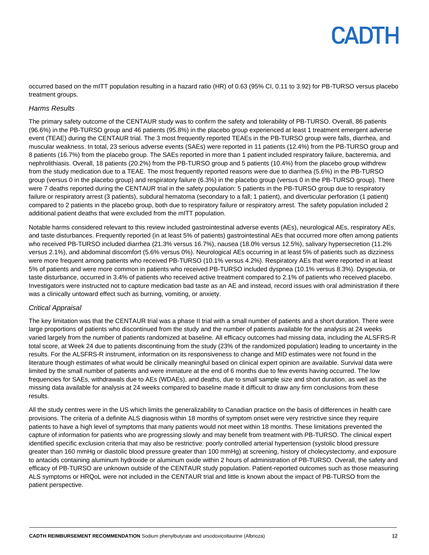occurred based on the mITT population resulting in a hazard ratio (HR) of 0.63 (95% CI, 0.11 to 3.92) for PB-TURSO versus placebo treatment groups.

#### *Harms Results*

The primary safety outcome of the CENTAUR study was to confirm the safety and tolerability of PB-TURSO. Overall, 86 patients (96.6%) in the PB-TURSO group and 46 patients (95.8%) in the placebo group experienced at least 1 treatment emergent adverse event (TEAE) during the CENTAUR trial. The 3 most frequently reported TEAEs in the PB-TURSO group were falls, diarrhea, and muscular weakness. In total, 23 serious adverse events (SAEs) were reported in 11 patients (12.4%) from the PB-TURSO group and 8 patients (16.7%) from the placebo group. The SAEs reported in more than 1 patient included respiratory failure, bacteremia, and nephrolithiasis. Overall, 18 patients (20.2%) from the PB-TURSO group and 5 patients (10.4%) from the placebo group withdrew from the study medication due to a TEAE. The most frequently reported reasons were due to diarrhea (5.6%) in the PB-TURSO group (versus 0 in the placebo group) and respiratory failure (6.3%) in the placebo group (versus 0 in the PB-TURSO group). There were 7 deaths reported during the CENTAUR trial in the safety population: 5 patients in the PB-TURSO group due to respiratory failure or respiratory arrest (3 patients), subdural hematoma (secondary to a fall; 1 patient), and diverticular perforation (1 patient) compared to 2 patients in the placebo group, both due to respiratory failure or respiratory arrest. The safety population included 2 additional patient deaths that were excluded from the mITT population.

Notable harms considered relevant to this review included gastrointestinal adverse events (AEs), neurological AEs, respiratory AEs, and taste disturbances. Frequently reported (in at least 5% of patients) gastrointestinal AEs that occurred more often among patients who received PB-TURSO included diarrhea (21.3% versus 16.7%), nausea (18.0% versus 12.5%), salivary hypersecretion (11.2% versus 2.1%), and abdominal discomfort (5.6% versus 0%). Neurological AEs occurring in at least 5% of patients such as dizziness were more frequent among patients who received PB-TURSO (10.1% versus 4.2%). Respiratory AEs that were reported in at least 5% of patients and were more common in patients who received PB-TURSO included dyspnea (10.1% versus 8.3%). Dysgeusia, or taste disturbance, occurred in 3.4% of patients who received active treatment compared to 2.1% of patients who received placebo. Investigators were instructed not to capture medication bad taste as an AE and instead, record issues with oral administration if there was a clinically untoward effect such as burning, vomiting, or anxiety.

#### *Critical Appraisal*

The key limitation was that the CENTAUR trial was a phase II trial with a small number of patients and a short duration. There were large proportions of patients who discontinued from the study and the number of patients available for the analysis at 24 weeks varied largely from the number of patients randomized at baseline. All efficacy outcomes had missing data, including the ALSFRS-R total score, at Week 24 due to patients discontinuing from the study (23% of the randomized population) leading to uncertainty in the results. For the ALSFRS-R instrument, information on its responsiveness to change and MID estimates were not found in the literature though estimates of what would be clinically meaningful based on clinical expert opinion are available. Survival data were limited by the small number of patients and were immature at the end of 6 months due to few events having occurred. The low frequencies for SAEs, withdrawals due to AEs (WDAEs), and deaths, due to small sample size and short duration, as well as the missing data available for analysis at 24 weeks compared to baseline made it difficult to draw any firm conclusions from these results.

All the study centres were in the US which limits the generalizability to Canadian practice on the basis of differences in health care provisions. The criteria of a definite ALS diagnosis within 18 months of symptom onset were very restrictive since they require patients to have a high level of symptoms that many patients would not meet within 18 months. These limitations prevented the capture of information for patients who are progressing slowly and may benefit from treatment with PB-TURSO. The clinical expert identified specific exclusion criteria that may also be restrictive: poorly controlled arterial hypertension (systolic blood pressure greater than 160 mmHg or diastolic blood pressure greater than 100 mmHg) at screening, history of cholecystectomy, and exposure to antacids containing aluminum hydroxide or aluminum oxide within 2 hours of administration of PB-TURSO. Overall, the safety and efficacy of PB-TURSO are unknown outside of the CENTAUR study population. Patient-reported outcomes such as those measuring ALS symptoms or HRQoL were not included in the CENTAUR trial and little is known about the impact of PB-TURSO from the patient perspective.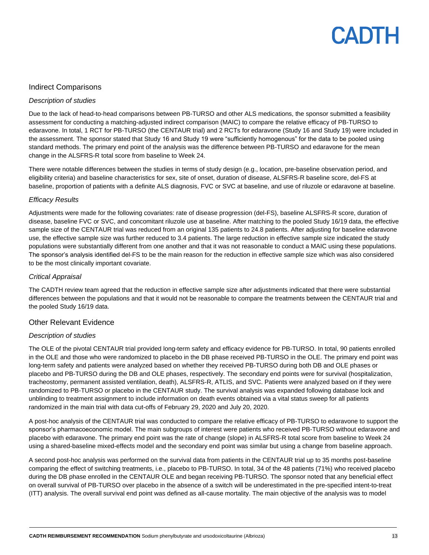### Indirect Comparisons

#### *Description of studies*

Due to the lack of head-to-head comparisons between PB-TURSO and other ALS medications, the sponsor submitted a feasibility assessment for conducting a matching-adjusted indirect comparison (MAIC) to compare the relative efficacy of PB-TURSO to edaravone. In total, 1 RCT for PB-TURSO (the CENTAUR trial) and 2 RCTs for edaravone (Study 16 and Study 19) were included in the assessment. The sponsor stated that Study 16 and Study 19 were "sufficiently homogenous" for the data to be pooled using standard methods. The primary end point of the analysis was the difference between PB-TURSO and edaravone for the mean change in the ALSFRS-R total score from baseline to Week 24.

There were notable differences between the studies in terms of study design (e.g., location, pre-baseline observation period, and eligibility criteria) and baseline characteristics for sex, site of onset, duration of disease, ALSFRS-R baseline score, del-FS at baseline, proportion of patients with a definite ALS diagnosis, FVC or SVC at baseline, and use of riluzole or edaravone at baseline.

#### *Efficacy Results*

Adjustments were made for the following covariates: rate of disease progression (del-FS), baseline ALSFRS-R score, duration of disease, baseline FVC or SVC, and concomitant riluzole use at baseline. After matching to the pooled Study 16/19 data, the effective sample size of the CENTAUR trial was reduced from an original 135 patients to 24.8 patients. After adjusting for baseline edaravone use, the effective sample size was further reduced to 3.4 patients. The large reduction in effective sample size indicated the study populations were substantially different from one another and that it was not reasonable to conduct a MAIC using these populations. The sponsor's analysis identified del-FS to be the main reason for the reduction in effective sample size which was also considered to be the most clinically important covariate.

#### *Critical Appraisal*

The CADTH review team agreed that the reduction in effective sample size after adjustments indicated that there were substantial differences between the populations and that it would not be reasonable to compare the treatments between the CENTAUR trial and the pooled Study 16/19 data.

### Other Relevant Evidence

#### *Description of studies*

The OLE of the pivotal CENTAUR trial provided long-term safety and efficacy evidence for PB-TURSO. In total, 90 patients enrolled in the OLE and those who were randomized to placebo in the DB phase received PB-TURSO in the OLE. The primary end point was long-term safety and patients were analyzed based on whether they received PB-TURSO during both DB and OLE phases or placebo and PB-TURSO during the DB and OLE phases, respectively. The secondary end points were for survival (hospitalization, tracheostomy, permanent assisted ventilation, death), ALSFRS-R, ATLIS, and SVC. Patients were analyzed based on if they were randomized to PB-TURSO or placebo in the CENTAUR study. The survival analysis was expanded following database lock and unblinding to treatment assignment to include information on death events obtained via a vital status sweep for all patients randomized in the main trial with data cut-offs of February 29, 2020 and July 20, 2020.

A post-hoc analysis of the CENTAUR trial was conducted to compare the relative efficacy of PB-TURSO to edaravone to support the sponsor's pharmacoeconomic model. The main subgroups of interest were patients who received PB-TURSO without edaravone and placebo with edaravone. The primary end point was the rate of change (slope) in ALSFRS-R total score from baseline to Week 24 using a shared-baseline mixed-effects model and the secondary end point was similar but using a change from baseline approach.

A second post-hoc analysis was performed on the survival data from patients in the CENTAUR trial up to 35 months post-baseline comparing the effect of switching treatments, i.e., placebo to PB-TURSO. In total, 34 of the 48 patients (71%) who received placebo during the DB phase enrolled in the CENTAUR OLE and began receiving PB-TURSO. The sponsor noted that any beneficial effect on overall survival of PB-TURSO over placebo in the absence of a switch will be underestimated in the pre-specified intent-to-treat (ITT) analysis. The overall survival end point was defined as all-cause mortality. The main objective of the analysis was to model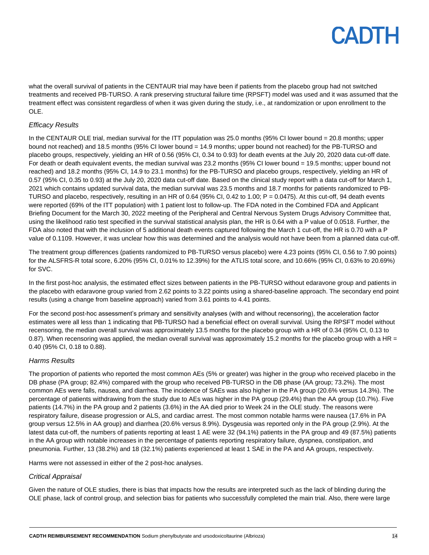what the overall survival of patients in the CENTAUR trial may have been if patients from the placebo group had not switched treatments and received PB-TURSO. A rank preserving structural failure time (RPSFT) model was used and it was assumed that the treatment effect was consistent regardless of when it was given during the study, i.e., at randomization or upon enrollment to the OLE.

### *Efficacy Results*

In the CENTAUR OLE trial, median survival for the ITT population was 25.0 months (95% CI lower bound = 20.8 months; upper bound not reached) and 18.5 months (95% CI lower bound = 14.9 months; upper bound not reached) for the PB-TURSO and placebo groups, respectively, yielding an HR of 0.56 (95% CI, 0.34 to 0.93) for death events at the July 20, 2020 data cut-off date. For death or death equivalent events, the median survival was 23.2 months (95% CI lower bound = 19.5 months; upper bound not reached) and 18.2 months (95% CI, 14.9 to 23.1 months) for the PB-TURSO and placebo groups, respectively, yielding an HR of 0.57 (95% CI, 0.35 to 0.93) at the July 20, 2020 data cut-off date. Based on the clinical study report with a data cut-off for March 1, 2021 which contains updated survival data, the median survival was 23.5 months and 18.7 months for patients randomized to PB-TURSO and placebo, respectively, resulting in an HR of 0.64 (95% CI, 0.42 to 1.00; P = 0.0475). At this cut-off, 94 death events were reported (69% of the ITT population) with 1 patient lost to follow-up. The FDA noted in the Combined FDA and Applicant Briefing Document for the March 30, 2022 meeting of the Peripheral and Central Nervous System Drugs Advisory Committee that, using the likelihood ratio test specified in the survival statistical analysis plan, the HR is 0.64 with a P value of 0.0518. Further, the FDA also noted that with the inclusion of 5 additional death events captured following the March 1 cut-off, the HR is 0.70 with a P value of 0.1109. However, it was unclear how this was determined and the analysis would not have been from a planned data cut-off.

The treatment group differences (patients randomized to PB-TURSO versus placebo) were 4.23 points (95% CI, 0.56 to 7.90 points) for the ALSFRS-R total score, 6.20% (95% CI, 0.01% to 12.39%) for the ATLIS total score, and 10.66% (95% CI, 0.63% to 20.69%) for SVC.

In the first post-hoc analysis, the estimated effect sizes between patients in the PB-TURSO without edaravone group and patients in the placebo with edaravone group varied from 2.62 points to 3.22 points using a shared-baseline approach. The secondary end point results (using a change from baseline approach) varied from 3.61 points to 4.41 points.

For the second post-hoc assessment's primary and sensitivity analyses (with and without recensoring), the acceleration factor estimates were all less than 1 indicating that PB-TURSO had a beneficial effect on overall survival. Using the RPSFT model without recensoring, the median overall survival was approximately 13.5 months for the placebo group with a HR of 0.34 (95% CI, 0.13 to 0.87). When recensoring was applied, the median overall survival was approximately 15.2 months for the placebo group with a HR = 0.40 (95% CI, 0.18 to 0.88).

### *Harms Results*

The proportion of patients who reported the most common AEs (5% or greater) was higher in the group who received placebo in the DB phase (PA group; 82.4%) compared with the group who received PB-TURSO in the DB phase (AA group; 73.2%). The most common AEs were falls, nausea, and diarrhea. The incidence of SAEs was also higher in the PA group (20.6% versus 14.3%). The percentage of patients withdrawing from the study due to AEs was higher in the PA group (29.4%) than the AA group (10.7%). Five patients (14.7%) in the PA group and 2 patients (3.6%) in the AA died prior to Week 24 in the OLE study. The reasons were respiratory failure, disease progression or ALS, and cardiac arrest. The most common notable harms were nausea (17.6% in PA group versus 12.5% in AA group) and diarrhea (20.6% versus 8.9%). Dysgeusia was reported only in the PA group (2.9%). At the latest data cut-off, the numbers of patients reporting at least 1 AE were 32 (94.1%) patients in the PA group and 49 (87.5%) patients in the AA group with notable increases in the percentage of patients reporting respiratory failure, dyspnea, constipation, and pneumonia. Further, 13 (38.2%) and 18 (32.1%) patients experienced at least 1 SAE in the PA and AA groups, respectively.

Harms were not assessed in either of the 2 post-hoc analyses.

### *Critical Appraisal*

Given the nature of OLE studies, there is bias that impacts how the results are interpreted such as the lack of blinding during the OLE phase, lack of control group, and selection bias for patients who successfully completed the main trial. Also, there were large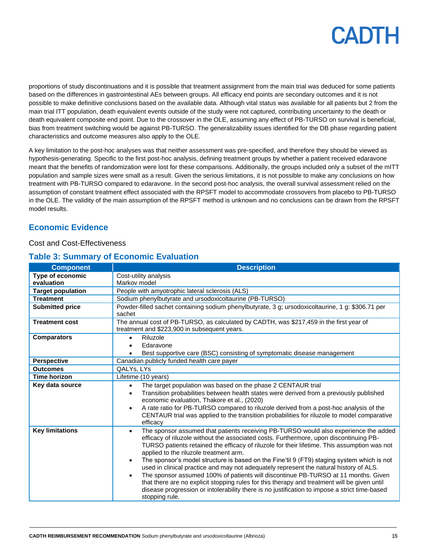proportions of study discontinuations and it is possible that treatment assignment from the main trial was deduced for some patients based on the differences in gastrointestinal AEs between groups. All efficacy end points are secondary outcomes and it is not possible to make definitive conclusions based on the available data. Although vital status was available for all patients but 2 from the main trial ITT population, death equivalent events outside of the study were not captured, contributing uncertainty to the death or death equivalent composite end point. Due to the crossover in the OLE, assuming any effect of PB-TURSO on survival is beneficial, bias from treatment switching would be against PB-TURSO. The generalizability issues identified for the DB phase regarding patient characteristics and outcome measures also apply to the OLE.

A key limitation to the post-hoc analyses was that neither assessment was pre-specified, and therefore they should be viewed as hypothesis-generating. Specific to the first post-hoc analysis, defining treatment groups by whether a patient received edaravone meant that the benefits of randomization were lost for these comparisons. Additionally, the groups included only a subset of the mITT population and sample sizes were small as a result. Given the serious limitations, it is not possible to make any conclusions on how treatment with PB-TURSO compared to edaravone. In the second post-hoc analysis, the overall survival assessment relied on the assumption of constant treatment effect associated with the RPSFT model to accommodate crossovers from placebo to PB-TURSO in the OLE. The validity of the main assumption of the RPSFT method is unknown and no conclusions can be drawn from the RPSFT model results.

### **Economic Evidence**

### Cost and Cost-Effectiveness

### **Table 3: Summary of Economic Evaluation**

| <b>Component</b>               | <b>Description</b>                                                                                                                                                                                                                                                                                                                                                                                                                                                                                                                                                                                                                                                                                                                                                                                                                                               |
|--------------------------------|------------------------------------------------------------------------------------------------------------------------------------------------------------------------------------------------------------------------------------------------------------------------------------------------------------------------------------------------------------------------------------------------------------------------------------------------------------------------------------------------------------------------------------------------------------------------------------------------------------------------------------------------------------------------------------------------------------------------------------------------------------------------------------------------------------------------------------------------------------------|
| Type of economic<br>evaluation | Cost-utility analysis<br>Markov model                                                                                                                                                                                                                                                                                                                                                                                                                                                                                                                                                                                                                                                                                                                                                                                                                            |
| <b>Target population</b>       | People with amyotrophic lateral sclerosis (ALS)                                                                                                                                                                                                                                                                                                                                                                                                                                                                                                                                                                                                                                                                                                                                                                                                                  |
| <b>Treatment</b>               | Sodium phenylbutyrate and ursodoxicoltaurine (PB-TURSO)                                                                                                                                                                                                                                                                                                                                                                                                                                                                                                                                                                                                                                                                                                                                                                                                          |
| <b>Submitted price</b>         | Powder-filled sachet containing sodium phenylbutyrate, 3 g; ursodoxicoltaurine, 1 g: \$306.71 per<br>sachet                                                                                                                                                                                                                                                                                                                                                                                                                                                                                                                                                                                                                                                                                                                                                      |
| <b>Treatment cost</b>          | The annual cost of PB-TURSO, as calculated by CADTH, was \$217,459 in the first year of<br>treatment and \$223,900 in subsequent years.                                                                                                                                                                                                                                                                                                                                                                                                                                                                                                                                                                                                                                                                                                                          |
| <b>Comparators</b>             | Riluzole<br>$\bullet$<br>Edaravone<br>Best supportive care (BSC) consisting of symptomatic disease management                                                                                                                                                                                                                                                                                                                                                                                                                                                                                                                                                                                                                                                                                                                                                    |
| <b>Perspective</b>             | Canadian publicly funded health care payer                                                                                                                                                                                                                                                                                                                                                                                                                                                                                                                                                                                                                                                                                                                                                                                                                       |
| <b>Outcomes</b>                | QALYs, LYs                                                                                                                                                                                                                                                                                                                                                                                                                                                                                                                                                                                                                                                                                                                                                                                                                                                       |
| <b>Time horizon</b>            | Lifetime (10 years)                                                                                                                                                                                                                                                                                                                                                                                                                                                                                                                                                                                                                                                                                                                                                                                                                                              |
| Key data source                | The target population was based on the phase 2 CENTAUR trial<br>$\bullet$<br>Transition probabilities between health states were derived from a previously published<br>$\bullet$<br>economic evaluation, Thakore et al., (2020)<br>A rate ratio for PB-TURSO compared to riluzole derived from a post-hoc analysis of the<br>$\bullet$<br>CENTAUR trial was applied to the transition probabilities for riluzole to model comparative<br>efficacy                                                                                                                                                                                                                                                                                                                                                                                                               |
| <b>Key limitations</b>         | The sponsor assumed that patients receiving PB-TURSO would also experience the added<br>$\bullet$<br>efficacy of riluzole without the associated costs. Furthermore, upon discontinuing PB-<br>TURSO patients retained the efficacy of riluzole for their lifetime. This assumption was not<br>applied to the riluzole treatment arm.<br>The sponsor's model structure is based on the Fine'til 9 (FT9) staging system which is not<br>$\bullet$<br>used in clinical practice and may not adequately represent the natural history of ALS.<br>The sponsor assumed 100% of patients will discontinue PB-TURSO at 11 months. Given<br>$\bullet$<br>that there are no explicit stopping rules for this therapy and treatment will be given until<br>disease progression or intolerability there is no justification to impose a strict time-based<br>stopping rule. |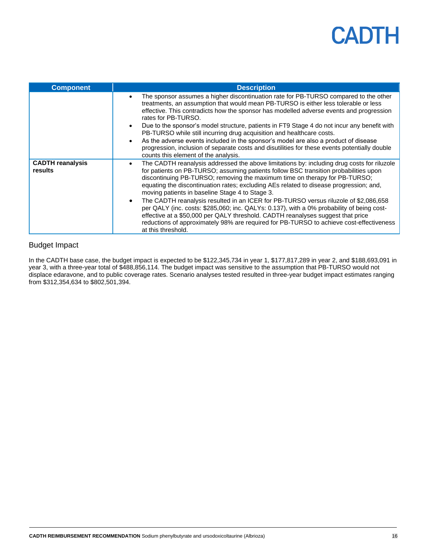| <b>Component</b>                   | <b>Description</b>                                                                                                                                                                                                                                                                                                                                                                                                         |
|------------------------------------|----------------------------------------------------------------------------------------------------------------------------------------------------------------------------------------------------------------------------------------------------------------------------------------------------------------------------------------------------------------------------------------------------------------------------|
|                                    | The sponsor assumes a higher discontinuation rate for PB-TURSO compared to the other<br>$\bullet$<br>treatments, an assumption that would mean PB-TURSO is either less tolerable or less<br>effective. This contradicts how the sponsor has modelled adverse events and progression<br>rates for PB-TURSO.<br>Due to the sponsor's model structure, patients in FT9 Stage 4 do not incur any benefit with<br>$\bullet$     |
|                                    | PB-TURSO while still incurring drug acquisition and healthcare costs.                                                                                                                                                                                                                                                                                                                                                      |
|                                    | As the adverse events included in the sponsor's model are also a product of disease<br>$\bullet$<br>progression, inclusion of separate costs and disutilities for these events potentially double<br>counts this element of the analysis.                                                                                                                                                                                  |
| <b>CADTH</b> reanalysis<br>results | The CADTH reanalysis addressed the above limitations by: including drug costs for riluzole<br>$\bullet$<br>for patients on PB-TURSO; assuming patients follow BSC transition probabilities upon<br>discontinuing PB-TURSO; removing the maximum time on therapy for PB-TURSO;<br>equating the discontinuation rates; excluding AEs related to disease progression; and,<br>moving patients in baseline Stage 4 to Stage 3. |
|                                    | The CADTH reanalysis resulted in an ICER for PB-TURSO versus riluzole of \$2,086,658<br>$\bullet$<br>per QALY (inc. costs: \$285,060; inc. QALYs: 0.137), with a 0% probability of being cost-<br>effective at a \$50,000 per QALY threshold. CADTH reanalyses suggest that price<br>reductions of approximately 98% are required for PB-TURSO to achieve cost-effectiveness<br>at this threshold.                         |

### Budget Impact

In the CADTH base case, the budget impact is expected to be \$122,345,734 in year 1, \$177,817,289 in year 2, and \$188,693,091 in year 3, with a three-year total of \$488,856,114. The budget impact was sensitive to the assumption that PB-TURSO would not displace edaravone, and to public coverage rates. Scenario analyses tested resulted in three-year budget impact estimates ranging from \$312,354,634 to \$802,501,394.